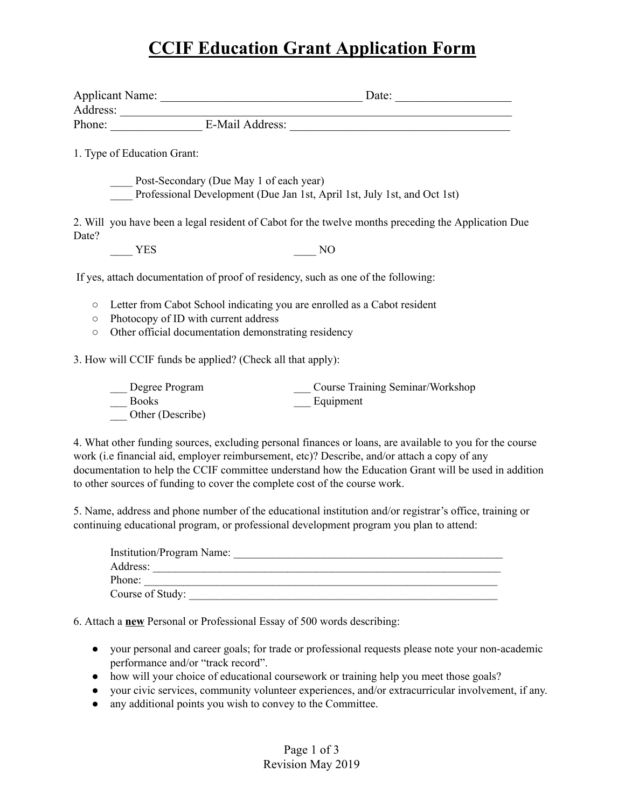### **CCIF Education Grant Application Form**

|         | 1. Type of Education Grant:                                                                         |                                                            |                                                                                   |  |
|---------|-----------------------------------------------------------------------------------------------------|------------------------------------------------------------|-----------------------------------------------------------------------------------|--|
|         |                                                                                                     | Post-Secondary (Due May 1 of each year)                    |                                                                                   |  |
|         |                                                                                                     |                                                            | Professional Development (Due Jan 1st, April 1st, July 1st, and Oct 1st)          |  |
| Date?   | 2. Will you have been a legal resident of Cabot for the twelve months preceding the Application Due |                                                            |                                                                                   |  |
|         | <b>YES</b>                                                                                          |                                                            | N <sub>O</sub>                                                                    |  |
|         |                                                                                                     |                                                            | If yes, attach documentation of proof of residency, such as one of the following: |  |
| $\circ$ |                                                                                                     |                                                            | Letter from Cabot School indicating you are enrolled as a Cabot resident          |  |
| $\circ$ | Photocopy of ID with current address                                                                |                                                            |                                                                                   |  |
| $\circ$ |                                                                                                     | Other official documentation demonstrating residency       |                                                                                   |  |
|         |                                                                                                     | 3. How will CCIF funds be applied? (Check all that apply): |                                                                                   |  |
|         | Degree Program                                                                                      |                                                            | Course Training Seminar/Workshop                                                  |  |
|         | <b>Books</b>                                                                                        |                                                            | Equipment                                                                         |  |

4. What other funding sources, excluding personal finances or loans, are available to you for the course work (i.e financial aid, employer reimbursement, etc)? Describe, and/or attach a copy of any documentation to help the CCIF committee understand how the Education Grant will be used in addition to other sources of funding to cover the complete cost of the course work.

5. Name, address and phone number of the educational institution and/or registrar's office, training or continuing educational program, or professional development program you plan to attend:

| <b>Institution/Program Name:</b> |  |
|----------------------------------|--|
| Address:                         |  |
| Phone:                           |  |
| Course of Study:                 |  |

6. Attach a **new** Personal or Professional Essay of 500 words describing:

Other (Describe)

- your personal and career goals; for trade or professional requests please note your non-academic performance and/or "track record".
- how will your choice of educational coursework or training help you meet those goals?
- your civic services, community volunteer experiences, and/or extracurricular involvement, if any.
- any additional points you wish to convey to the Committee.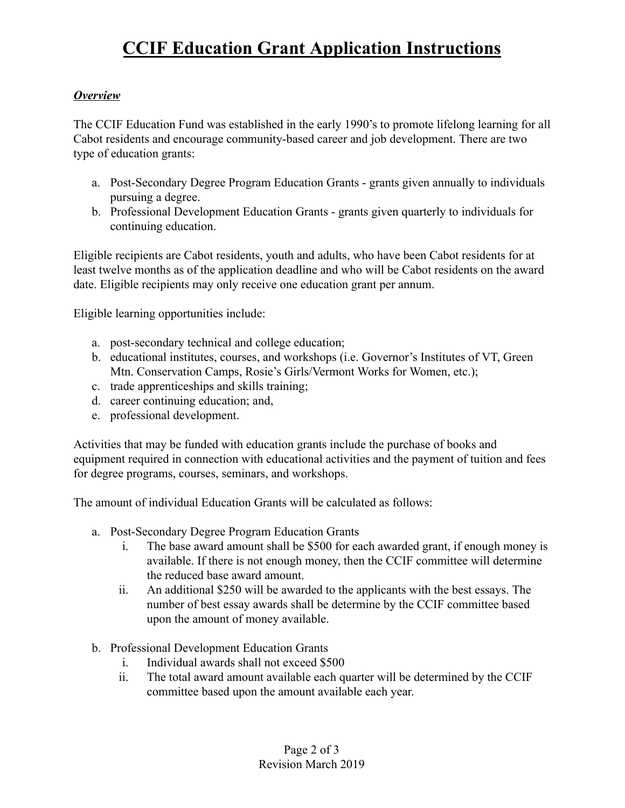# **CCIF Education Grant Application Instructions**

#### *Overview*

The CCIF Education Fund was established in the early 1990's to promote lifelong learning for all Cabot residents and encourage community-based career and job development. There are two type of education grants:

- a. Post-Secondary Degree Program Education Grants grants given annually to individuals pursuing a degree.
- b. Professional Development Education Grants grants given quarterly to individuals for continuing education.

Eligible recipients are Cabot residents, youth and adults, who have been Cabot residents for at least twelve months as of the application deadline and who will be Cabot residents on the award date. Eligible recipients may only receive one education grant per annum.

Eligible learning opportunities include:

- a. post-secondary technical and college education;
- b. educational institutes, courses, and workshops (i.e. Governor's Institutes of VT, Green Mtn. Conservation Camps, Rosie's Girls/Vermont Works for Women, etc.);
- c. trade apprenticeships and skills training;
- d. career continuing education; and,
- e. professional development.

Activities that may be funded with education grants include the purchase of books and equipment required in connection with educational activities and the payment of tuition and fees for degree programs, courses, seminars, and workshops.

The amount of individual Education Grants will be calculated as follows:

- a. Post-Secondary Degree Program Education Grants
	- i. The base award amount shall be \$500 for each awarded grant, if enough money is available. If there is not enough money, then the CCIF committee will determine the reduced base award amount.
	- ii. An additional \$250 will be awarded to the applicants with the best essays. The number of best essay awards shall be determine by the CCIF committee based upon the amount of money available.
- b. Professional Development Education Grants
	- i. Individual awards shall not exceed \$500
	- ii. The total award amount available each quarter will be determined by the CCIF committee based upon the amount available each year.